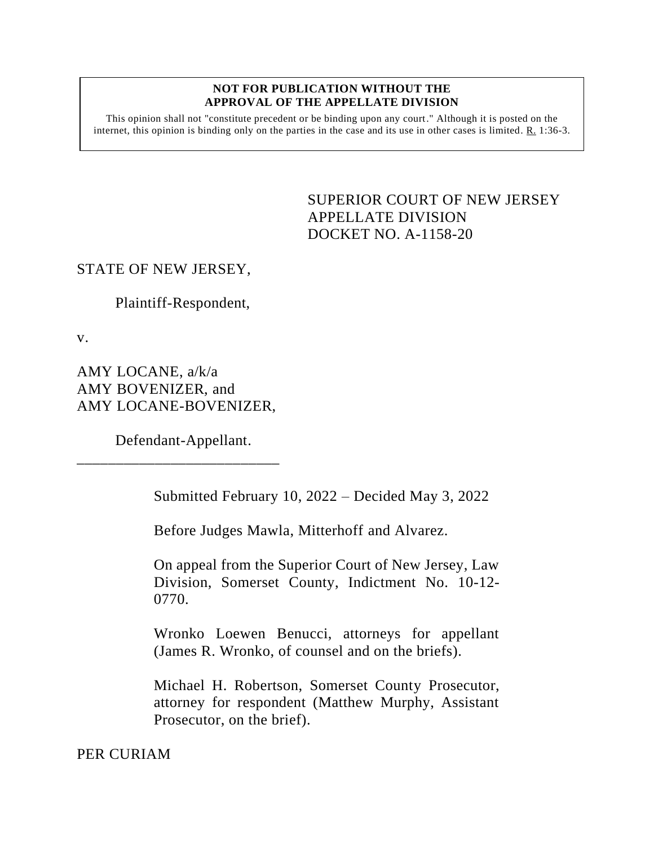#### **NOT FOR PUBLICATION WITHOUT THE APPROVAL OF THE APPELLATE DIVISION**

This opinion shall not "constitute precedent or be binding upon any court." Although it is posted on the internet, this opinion is binding only on the parties in the case and its use in other cases is limited. R. 1:36-3.

> <span id="page-0-0"></span>SUPERIOR COURT OF NEW JERSEY APPELLATE DIVISION DOCKET NO. A-1158-20

### STATE OF NEW JERSEY,

Plaintiff-Respondent,

v.

AMY LOCANE, a/k/a AMY BOVENIZER, and AMY LOCANE-BOVENIZER,

Defendant-Appellant.

\_\_\_\_\_\_\_\_\_\_\_\_\_\_\_\_\_\_\_\_\_\_\_\_\_\_

Submitted February 10, 2022 – Decided May 3, 2022

Before Judges Mawla, Mitterhoff and Alvarez.

On appeal from the Superior Court of New Jersey, Law Division, Somerset County, Indictment No. 10-12- 0770.

Wronko Loewen Benucci, attorneys for appellant (James R. Wronko, of counsel and on the briefs).

Michael H. Robertson, Somerset County Prosecutor, attorney for respondent (Matthew Murphy, Assistant Prosecutor, on the brief).

PER CURIAM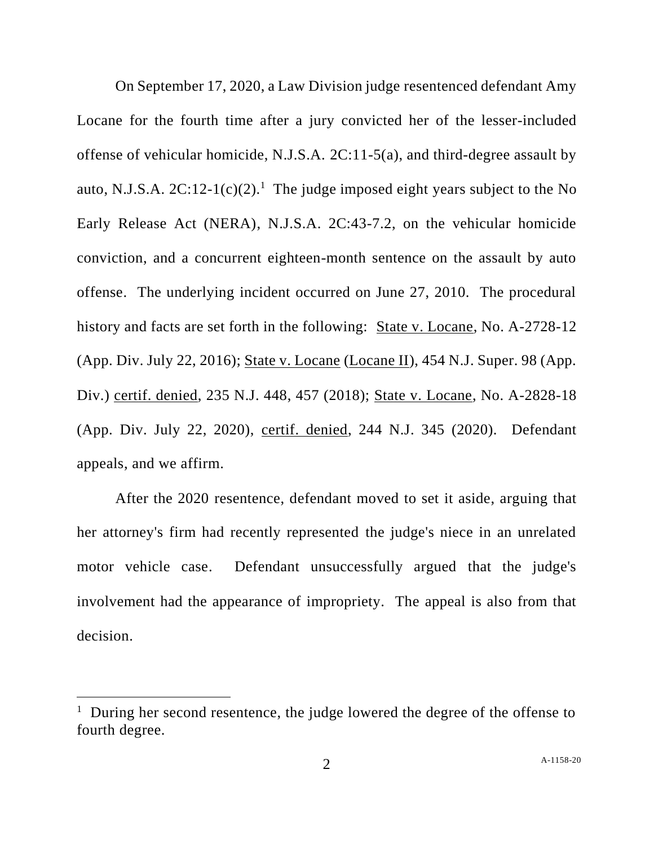On September 17, 2020, a Law Division judge resentenced defendant Amy Locane for the fourth time after a jury convicted her of the lesser-included offense of vehicular homicide, N.J.S.A. 2C:11-5(a), and third-degree assault by auto, N.J.S.A.  $2C:12-1(c)(2)$ <sup>1</sup>. The judge imposed eight years subject to the No Early Release Act (NERA), N.J.S.A. 2C:43-7.2, on the vehicular homicide conviction, and a concurrent eighteen-month sentence on the assault by auto offense. The underlying incident occurred on June 27, 2010. The procedural history and facts are set forth in the following: State v. Locane, No. A-2728-12 (App. Div. July 22, 2016); State v. Locane (Locane II), 454 N.J. Super. 98 (App. Div.) certif. denied, 235 N.J. 448, 457 (2018); State v. Locane, No. A-2828-18 (App. Div. July 22, 2020), certif. denied, 244 N.J. 345 (2020). Defendant appeals, and we affirm.

After the 2020 resentence, defendant moved to set it aside, arguing that her attorney's firm had recently represented the judge's niece in an unrelated motor vehicle case. Defendant unsuccessfully argued that the judge's involvement had the appearance of impropriety. The appeal is also from that decision.

<sup>&</sup>lt;sup>1</sup> During her second resentence, the judge lowered the degree of the offense to fourth degree.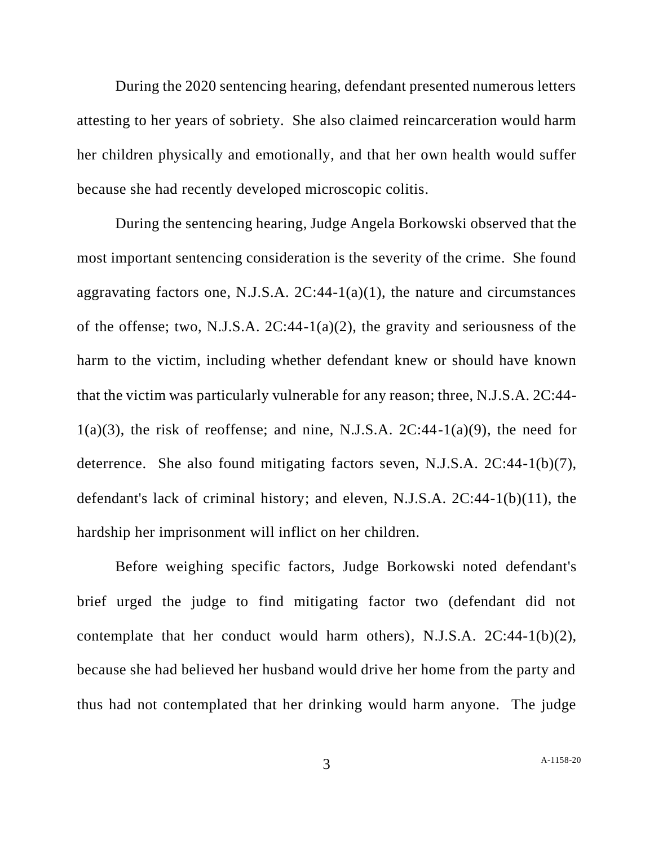During the 2020 sentencing hearing, defendant presented numerous letters attesting to her years of sobriety. She also claimed reincarceration would harm her children physically and emotionally, and that her own health would suffer because she had recently developed microscopic colitis.

During the sentencing hearing, Judge Angela Borkowski observed that the most important sentencing consideration is the severity of the crime. She found aggravating factors one, N.J.S.A.  $2C:44-1(a)(1)$ , the nature and circumstances of the offense; two, N.J.S.A.  $2C:44-1(a)(2)$ , the gravity and seriousness of the harm to the victim, including whether defendant knew or should have known that the victim was particularly vulnerable for any reason; three, N.J.S.A. 2C:44-  $1(a)(3)$ , the risk of reoffense; and nine, N.J.S.A.  $2C:44-1(a)(9)$ , the need for deterrence. She also found mitigating factors seven, N.J.S.A. 2C:44-1(b)(7), defendant's lack of criminal history; and eleven, N.J.S.A. 2C:44-1(b)(11), the hardship her imprisonment will inflict on her children.

Before weighing specific factors, Judge Borkowski noted defendant's brief urged the judge to find mitigating factor two (defendant did not contemplate that her conduct would harm others), N.J.S.A.  $2C:44-1(b)(2)$ , because she had believed her husband would drive her home from the party and thus had not contemplated that her drinking would harm anyone. The judge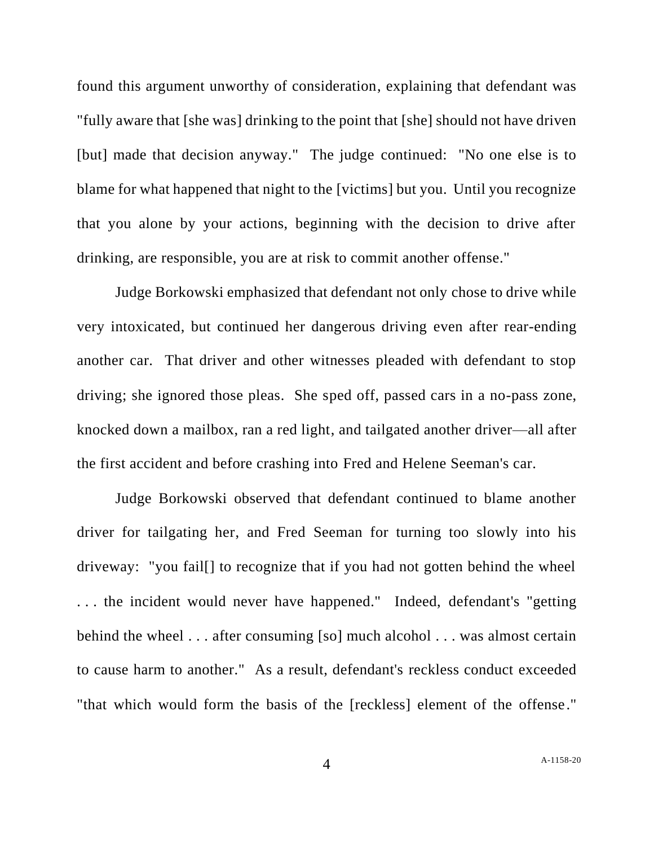found this argument unworthy of consideration, explaining that defendant was "fully aware that [she was] drinking to the point that [she] should not have driven [but] made that decision anyway." The judge continued: "No one else is to blame for what happened that night to the [victims] but you. Until you recognize that you alone by your actions, beginning with the decision to drive after drinking, are responsible, you are at risk to commit another offense."

Judge Borkowski emphasized that defendant not only chose to drive while very intoxicated, but continued her dangerous driving even after rear-ending another car. That driver and other witnesses pleaded with defendant to stop driving; she ignored those pleas. She sped off, passed cars in a no-pass zone, knocked down a mailbox, ran a red light, and tailgated another driver—all after the first accident and before crashing into Fred and Helene Seeman's car.

Judge Borkowski observed that defendant continued to blame another driver for tailgating her, and Fred Seeman for turning too slowly into his driveway: "you fail[] to recognize that if you had not gotten behind the wheel . . . the incident would never have happened." Indeed, defendant's "getting behind the wheel . . . after consuming [so] much alcohol . . . was almost certain to cause harm to another." As a result, defendant's reckless conduct exceeded "that which would form the basis of the [reckless] element of the offense."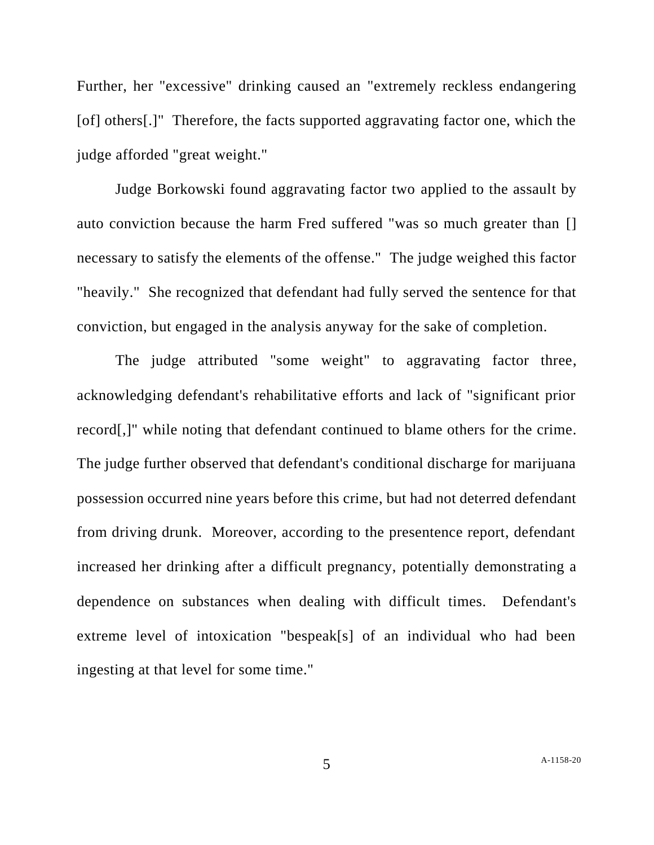Further, her "excessive" drinking caused an "extremely reckless endangering [of] others[.]" Therefore, the facts supported aggravating factor one, which the judge afforded "great weight."

Judge Borkowski found aggravating factor two applied to the assault by auto conviction because the harm Fred suffered "was so much greater than [] necessary to satisfy the elements of the offense." The judge weighed this factor "heavily." She recognized that defendant had fully served the sentence for that conviction, but engaged in the analysis anyway for the sake of completion.

The judge attributed "some weight" to aggravating factor three, acknowledging defendant's rehabilitative efforts and lack of "significant prior record[,]" while noting that defendant continued to blame others for the crime. The judge further observed that defendant's conditional discharge for marijuana possession occurred nine years before this crime, but had not deterred defendant from driving drunk. Moreover, according to the presentence report, defendant increased her drinking after a difficult pregnancy, potentially demonstrating a dependence on substances when dealing with difficult times. Defendant's extreme level of intoxication "bespeak[s] of an individual who had been ingesting at that level for some time."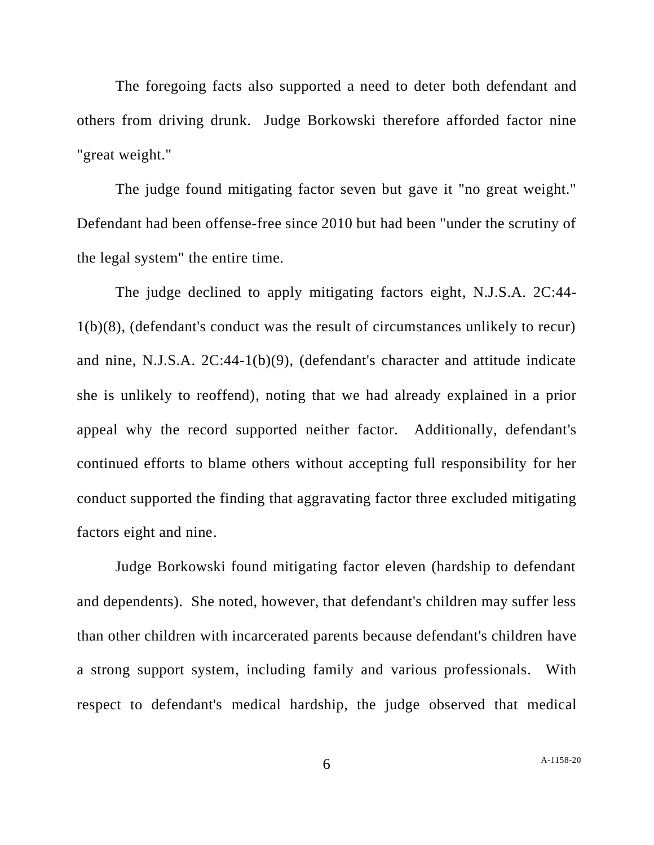The foregoing facts also supported a need to deter both defendant and others from driving drunk. Judge Borkowski therefore afforded factor nine "great weight."

The judge found mitigating factor seven but gave it "no great weight." Defendant had been offense-free since 2010 but had been "under the scrutiny of the legal system" the entire time.

The judge declined to apply mitigating factors eight, N.J.S.A. 2C:44- 1(b)(8), (defendant's conduct was the result of circumstances unlikely to recur) and nine, N.J.S.A. 2C:44-1(b)(9), (defendant's character and attitude indicate she is unlikely to reoffend), noting that we had already explained in a prior appeal why the record supported neither factor. Additionally, defendant's continued efforts to blame others without accepting full responsibility for her conduct supported the finding that aggravating factor three excluded mitigating factors eight and nine.

Judge Borkowski found mitigating factor eleven (hardship to defendant and dependents). She noted, however, that defendant's children may suffer less than other children with incarcerated parents because defendant's children have a strong support system, including family and various professionals. With respect to defendant's medical hardship, the judge observed that medical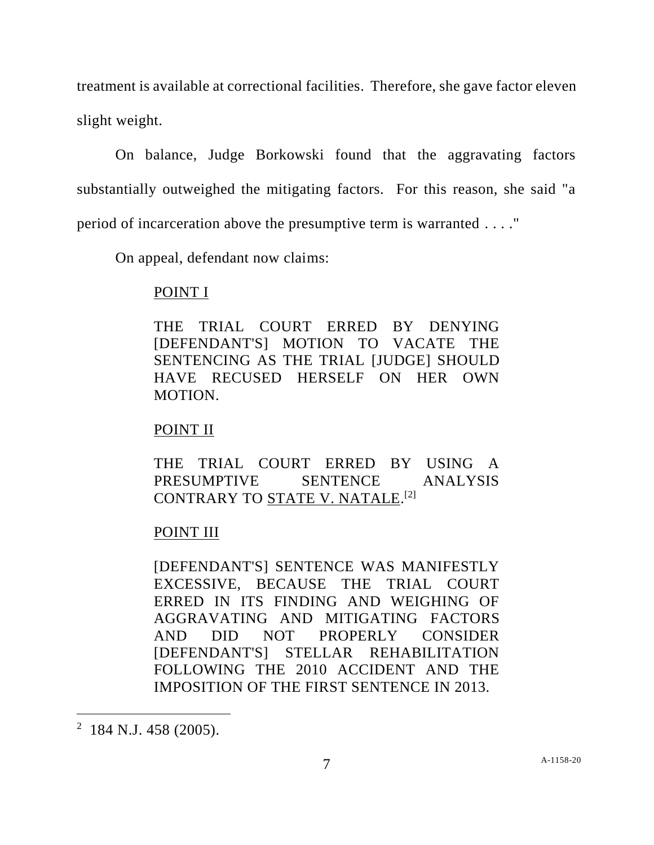treatment is available at correctional facilities. Therefore, she gave factor eleven slight weight.

On balance, Judge Borkowski found that the aggravating factors substantially outweighed the mitigating factors. For this reason, she said "a period of incarceration above the presumptive term is warranted . . . ."

On appeal, defendant now claims:

### POINT I

THE TRIAL COURT ERRED BY DENYING [DEFENDANT'S] MOTION TO VACATE THE SENTENCING AS THE TRIAL [JUDGE] SHOULD HAVE RECUSED HERSELF ON HER OWN MOTION.

## POINT II

THE TRIAL COURT ERRED BY USING A PRESUMPTIVE SENTENCE ANALYSIS CONTRARY TO <u>STATE V. NATALE</u>.<sup>[2]</sup>

# POINT III

[DEFENDANT'S] SENTENCE WAS MANIFESTLY EXCESSIVE, BECAUSE THE TRIAL COURT ERRED IN ITS FINDING AND WEIGHING OF AGGRAVATING AND MITIGATING FACTORS AND DID NOT PROPERLY CONSIDER [DEFENDANT'S] STELLAR REHABILITATION FOLLOWING THE 2010 ACCIDENT AND THE IMPOSITION OF THE FIRST SENTENCE IN 2013.

<sup>&</sup>lt;sup>2</sup> 184 N.J. 458 (2005).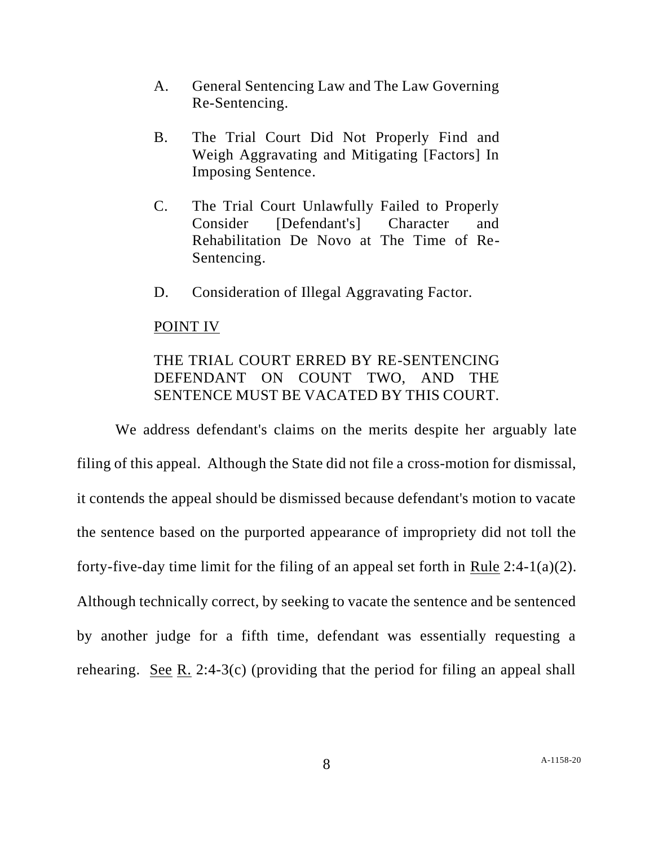- A. General Sentencing Law and The Law Governing Re-Sentencing.
- B. The Trial Court Did Not Properly Find and Weigh Aggravating and Mitigating [Factors] In Imposing Sentence.
- C. The Trial Court Unlawfully Failed to Properly Consider [Defendant's] Character and Rehabilitation De Novo at The Time of Re-Sentencing.
- D. Consideration of Illegal Aggravating Factor.

### POINT IV

# THE TRIAL COURT ERRED BY RE-SENTENCING DEFENDANT ON COUNT TWO, AND THE SENTENCE MUST BE VACATED BY THIS COURT.

We address defendant's claims on the merits despite her arguably late filing of this appeal. Although the State did not file a cross-motion for dismissal, it contends the appeal should be dismissed because defendant's motion to vacate the sentence based on the purported appearance of impropriety did not toll the forty-five-day time limit for the filing of an appeal set forth in Rule 2:4-1(a)(2). Although technically correct, by seeking to vacate the sentence and be sentenced by another judge for a fifth time, defendant was essentially requesting a rehearing. See R. 2:4-3(c) (providing that the period for filing an appeal shall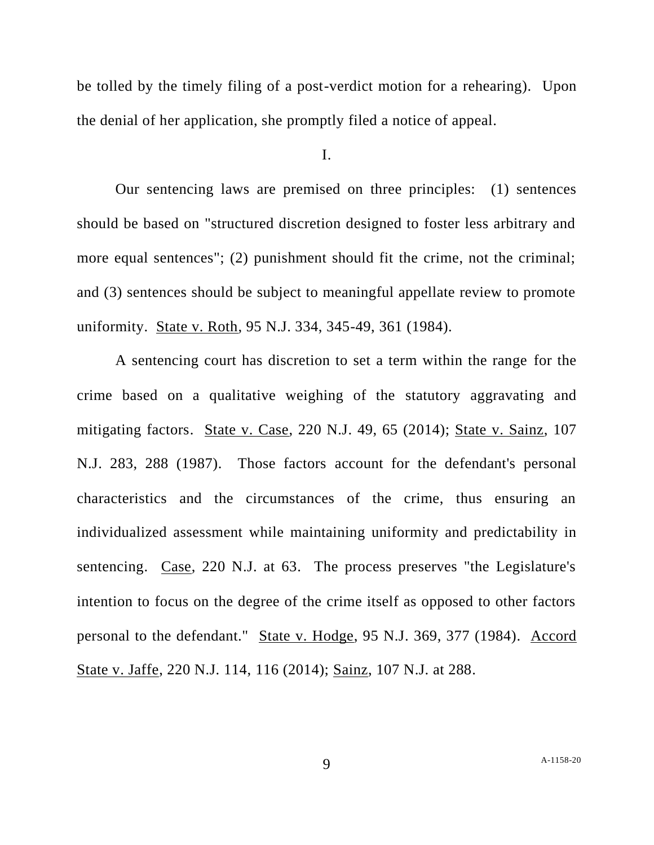be tolled by the timely filing of a post-verdict motion for a rehearing). Upon the denial of her application, she promptly filed a notice of appeal.

I.

Our sentencing laws are premised on three principles: (1) sentences should be based on "structured discretion designed to foster less arbitrary and more equal sentences"; (2) punishment should fit the crime, not the criminal; and (3) sentences should be subject to meaningful appellate review to promote uniformity. State v. Roth, 95 N.J. 334, 345-49, 361 (1984).

A sentencing court has discretion to set a term within the range for the crime based on a qualitative weighing of the statutory aggravating and mitigating factors. State v. Case, 220 N.J. 49, 65 (2014); State v. Sainz, 107 N.J. 283, 288 (1987). Those factors account for the defendant's personal characteristics and the circumstances of the crime, thus ensuring an individualized assessment while maintaining uniformity and predictability in sentencing. Case, 220 N.J. at 63. The process preserves "the Legislature's intention to focus on the degree of the crime itself as opposed to other factors personal to the defendant." State v. Hodge, 95 N.J. 369, 377 (1984). Accord State v. Jaffe, 220 N.J. 114, 116 (2014); Sainz, 107 N.J. at 288.

9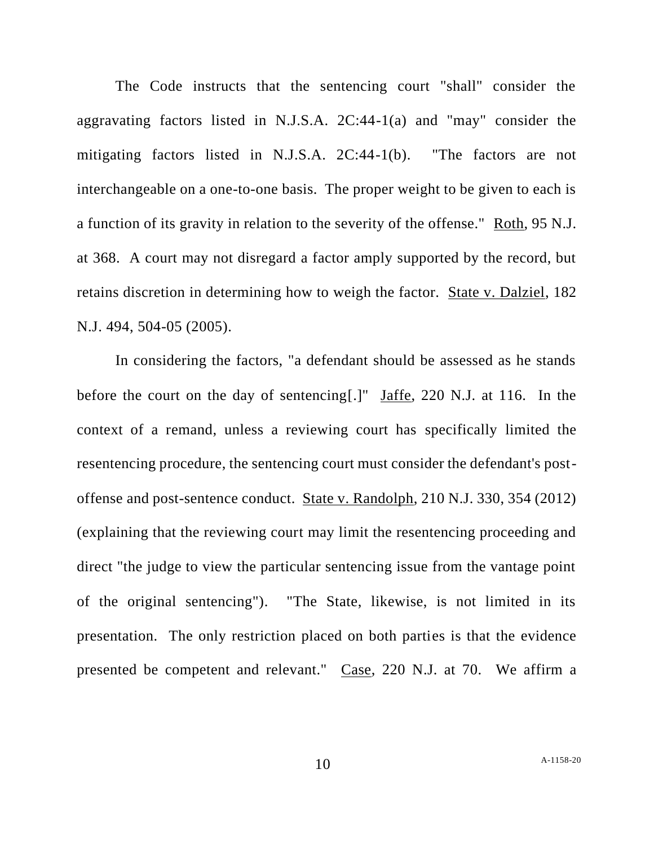The Code instructs that the sentencing court "shall" consider the aggravating factors listed in N.J.S.A. 2C:44-1(a) and "may" consider the mitigating factors listed in N.J.S.A. 2C:44-1(b). "The factors are not interchangeable on a one-to-one basis. The proper weight to be given to each is a function of its gravity in relation to the severity of the offense." Roth, 95 N.J. at 368. A court may not disregard a factor amply supported by the record, but retains discretion in determining how to weigh the factor. State v. Dalziel, 182 N.J. 494, 504-05 (2005).

In considering the factors, "a defendant should be assessed as he stands before the court on the day of sentencing[.]" Jaffe, 220 N.J. at 116. In the context of a remand, unless a reviewing court has specifically limited the resentencing procedure, the sentencing court must consider the defendant's postoffense and post-sentence conduct. State v. Randolph, 210 N.J. 330, 354 (2012) (explaining that the reviewing court may limit the resentencing proceeding and direct "the judge to view the particular sentencing issue from the vantage point of the original sentencing"). "The State, likewise, is not limited in its presentation. The only restriction placed on both parties is that the evidence presented be competent and relevant." Case, 220 N.J. at 70. We affirm a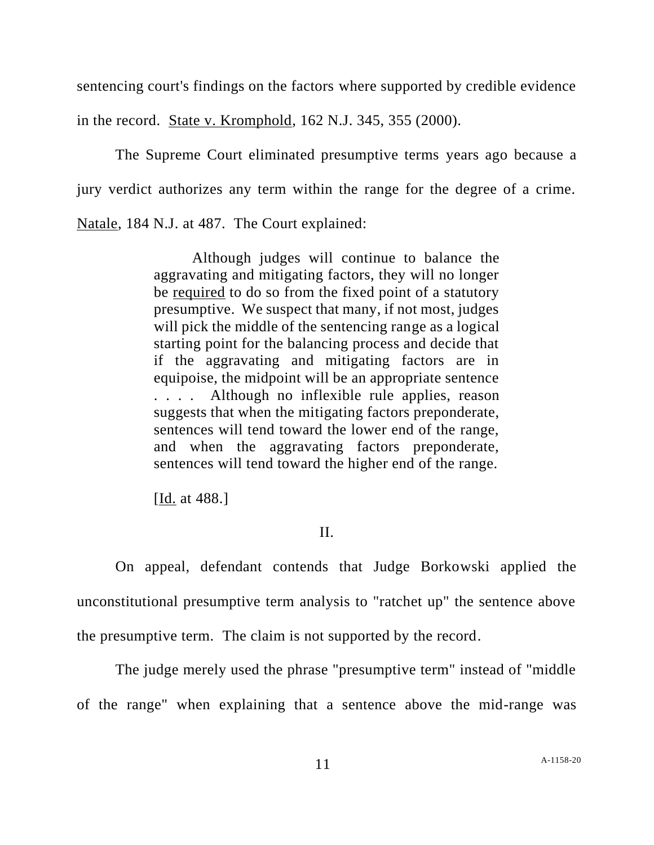sentencing court's findings on the factors where supported by credible evidence

in the record. State v. Kromphold, 162 N.J. 345, 355 (2000).

The Supreme Court eliminated presumptive terms years ago because a jury verdict authorizes any term within the range for the degree of a crime. Natale, 184 N.J. at 487. The Court explained:

> Although judges will continue to balance the aggravating and mitigating factors, they will no longer be required to do so from the fixed point of a statutory presumptive. We suspect that many, if not most, judges will pick the middle of the sentencing range as a logical starting point for the balancing process and decide that if the aggravating and mitigating factors are in equipoise, the midpoint will be an appropriate sentence . . . . Although no inflexible rule applies, reason suggests that when the mitigating factors preponderate, sentences will tend toward the lower end of the range, and when the aggravating factors preponderate, sentences will tend toward the higher end of the range.

[Id. at 488.]

### II.

On appeal, defendant contends that Judge Borkowski applied the unconstitutional presumptive term analysis to "ratchet up" the sentence above the presumptive term. The claim is not supported by the record.

The judge merely used the phrase "presumptive term" instead of "middle of the range" when explaining that a sentence above the mid-range was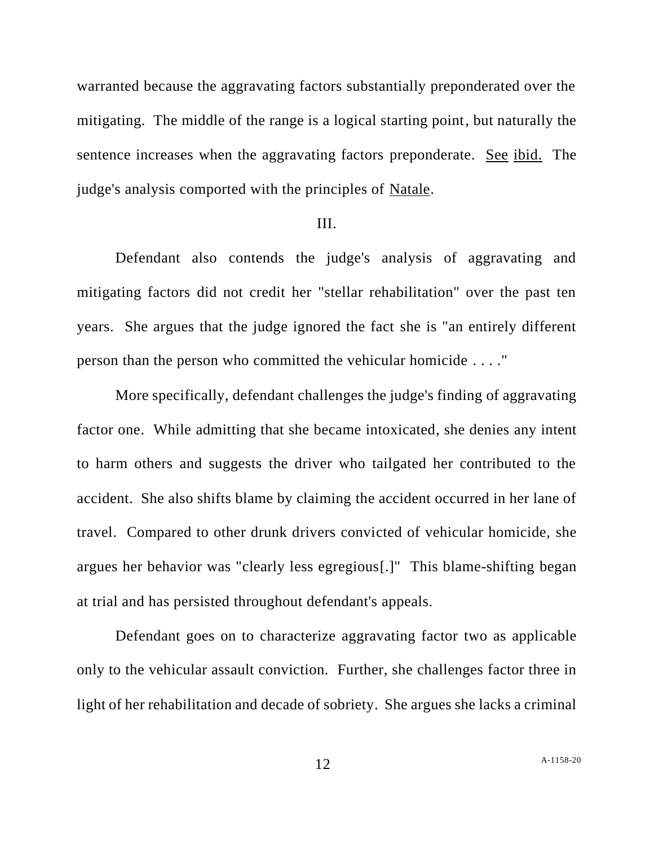warranted because the aggravating factors substantially preponderated over the mitigating. The middle of the range is a logical starting point, but naturally the sentence increases when the aggravating factors preponderate. See ibid. The judge's analysis comported with the principles of Natale.

#### III.

Defendant also contends the judge's analysis of aggravating and mitigating factors did not credit her "stellar rehabilitation" over the past ten years. She argues that the judge ignored the fact she is "an entirely different person than the person who committed the vehicular homicide . . . ."

More specifically, defendant challenges the judge's finding of aggravating factor one. While admitting that she became intoxicated, she denies any intent to harm others and suggests the driver who tailgated her contributed to the accident. She also shifts blame by claiming the accident occurred in her lane of travel. Compared to other drunk drivers convicted of vehicular homicide, she argues her behavior was "clearly less egregious[.]" This blame-shifting began at trial and has persisted throughout defendant's appeals.

Defendant goes on to characterize aggravating factor two as applicable only to the vehicular assault conviction. Further, she challenges factor three in light of her rehabilitation and decade of sobriety. She argues she lacks a criminal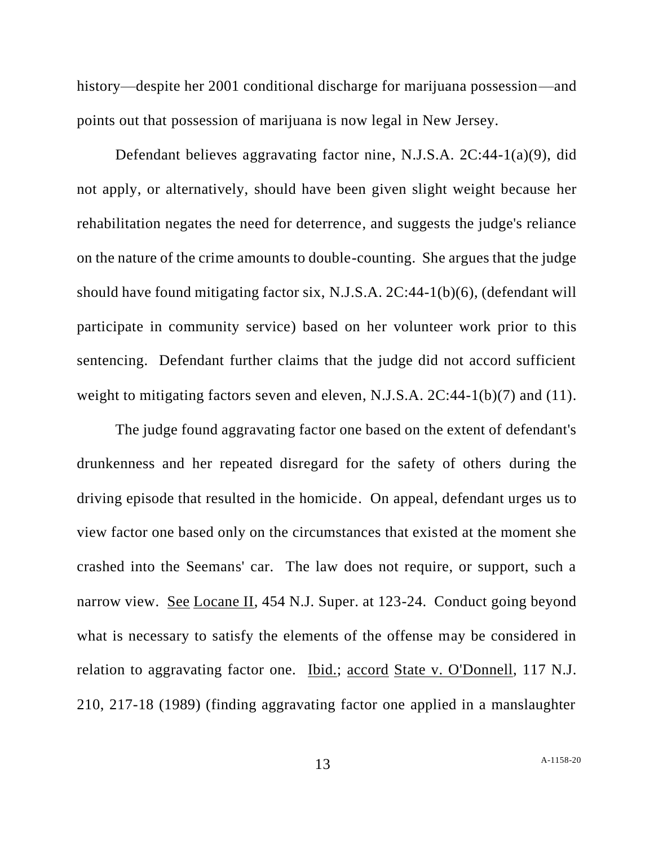history—despite her 2001 conditional discharge for marijuana possession—and points out that possession of marijuana is now legal in New Jersey.

Defendant believes aggravating factor nine, N.J.S.A. 2C:44-1(a)(9), did not apply, or alternatively, should have been given slight weight because her rehabilitation negates the need for deterrence, and suggests the judge's reliance on the nature of the crime amounts to double-counting. She argues that the judge should have found mitigating factor six, N.J.S.A. 2C:44-1(b)(6), (defendant will participate in community service) based on her volunteer work prior to this sentencing. Defendant further claims that the judge did not accord sufficient weight to mitigating factors seven and eleven, N.J.S.A. 2C:44-1(b)(7) and (11).

The judge found aggravating factor one based on the extent of defendant's drunkenness and her repeated disregard for the safety of others during the driving episode that resulted in the homicide. On appeal, defendant urges us to view factor one based only on the circumstances that existed at the moment she crashed into the Seemans' car. The law does not require, or support, such a narrow view. See Locane II, 454 N.J. Super. at 123-24. Conduct going beyond what is necessary to satisfy the elements of the offense may be considered in relation to aggravating factor one. Ibid.; accord State v. O'Donnell, 117 N.J. 210, 217-18 (1989) (finding aggravating factor one applied in a manslaughter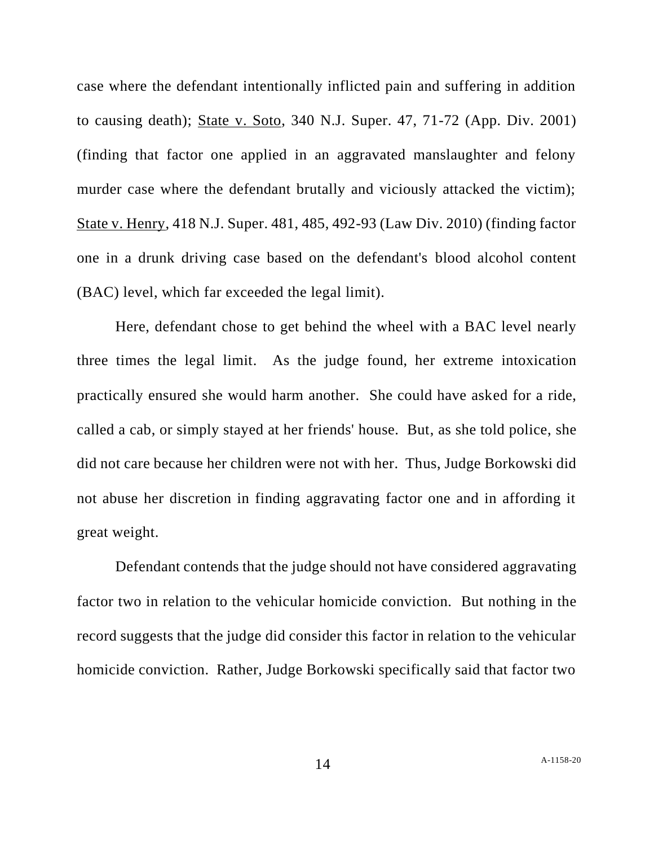case where the defendant intentionally inflicted pain and suffering in addition to causing death); State v. Soto, 340 N.J. Super. 47, 71-72 (App. Div. 2001) (finding that factor one applied in an aggravated manslaughter and felony murder case where the defendant brutally and viciously attacked the victim); State v. Henry, 418 N.J. Super. 481, 485, 492-93 (Law Div. 2010) (finding factor one in a drunk driving case based on the defendant's blood alcohol content (BAC) level, which far exceeded the legal limit).

Here, defendant chose to get behind the wheel with a BAC level nearly three times the legal limit. As the judge found, her extreme intoxication practically ensured she would harm another. She could have asked for a ride, called a cab, or simply stayed at her friends' house. But, as she told police, she did not care because her children were not with her. Thus, Judge Borkowski did not abuse her discretion in finding aggravating factor one and in affording it great weight.

Defendant contends that the judge should not have considered aggravating factor two in relation to the vehicular homicide conviction. But nothing in the record suggests that the judge did consider this factor in relation to the vehicular homicide conviction. Rather, Judge Borkowski specifically said that factor two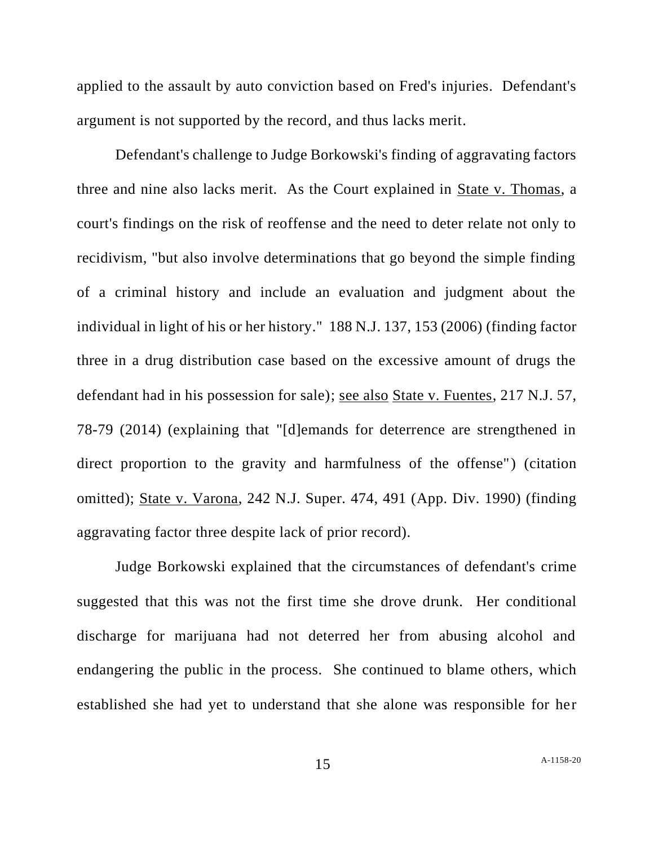applied to the assault by auto conviction based on Fred's injuries. Defendant's argument is not supported by the record, and thus lacks merit.

Defendant's challenge to Judge Borkowski's finding of aggravating factors three and nine also lacks merit. As the Court explained in State v. Thomas, a court's findings on the risk of reoffense and the need to deter relate not only to recidivism, "but also involve determinations that go beyond the simple finding of a criminal history and include an evaluation and judgment about the individual in light of his or her history." 188 N.J. 137, 153 (2006) (finding factor three in a drug distribution case based on the excessive amount of drugs the defendant had in his possession for sale); see also State v. Fuentes, 217 N.J. 57, 78-79 (2014) (explaining that "[d]emands for deterrence are strengthened in direct proportion to the gravity and harmfulness of the offense") (citation omitted); State v. Varona, 242 N.J. Super. 474, 491 (App. Div. 1990) (finding aggravating factor three despite lack of prior record).

Judge Borkowski explained that the circumstances of defendant's crime suggested that this was not the first time she drove drunk. Her conditional discharge for marijuana had not deterred her from abusing alcohol and endangering the public in the process. She continued to blame others, which established she had yet to understand that she alone was responsible for her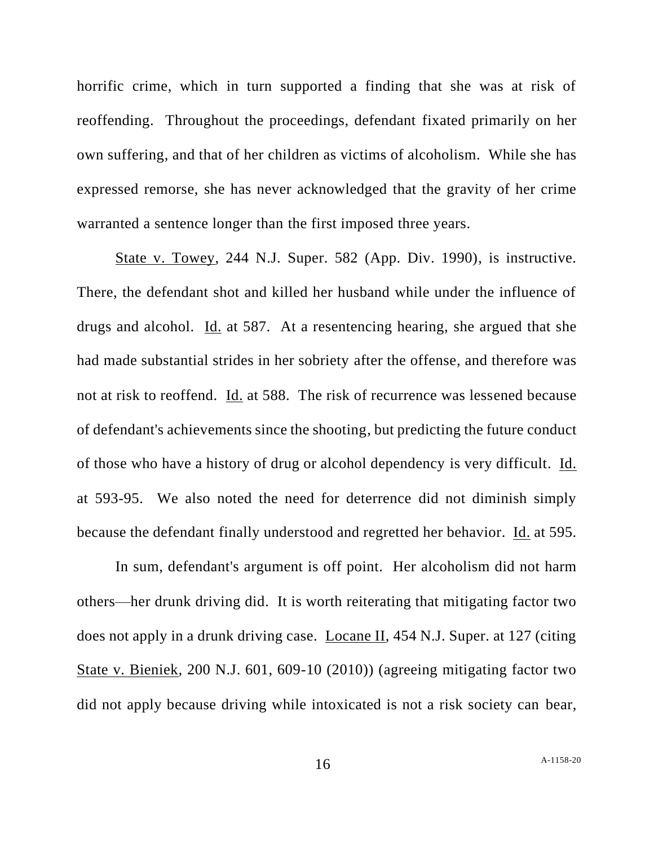horrific crime, which in turn supported a finding that she was at risk of reoffending. Throughout the proceedings, defendant fixated primarily on her own suffering, and that of her children as victims of alcoholism. While she has expressed remorse, she has never acknowledged that the gravity of her crime warranted a sentence longer than the first imposed three years.

State v. Towey, 244 N.J. Super. 582 (App. Div. 1990), is instructive. There, the defendant shot and killed her husband while under the influence of drugs and alcohol. Id. at 587. At a resentencing hearing, she argued that she had made substantial strides in her sobriety after the offense, and therefore was not at risk to reoffend. Id. at 588. The risk of recurrence was lessened because of defendant's achievements since the shooting, but predicting the future conduct of those who have a history of drug or alcohol dependency is very difficult. Id. at 593-95. We also noted the need for deterrence did not diminish simply because the defendant finally understood and regretted her behavior. Id. at 595.

In sum, defendant's argument is off point. Her alcoholism did not harm others—her drunk driving did. It is worth reiterating that mitigating factor two does not apply in a drunk driving case. Locane II, 454 N.J. Super. at 127 (citing State v. Bieniek, 200 N.J. 601, 609-10 (2010)) (agreeing mitigating factor two did not apply because driving while intoxicated is not a risk society can bear,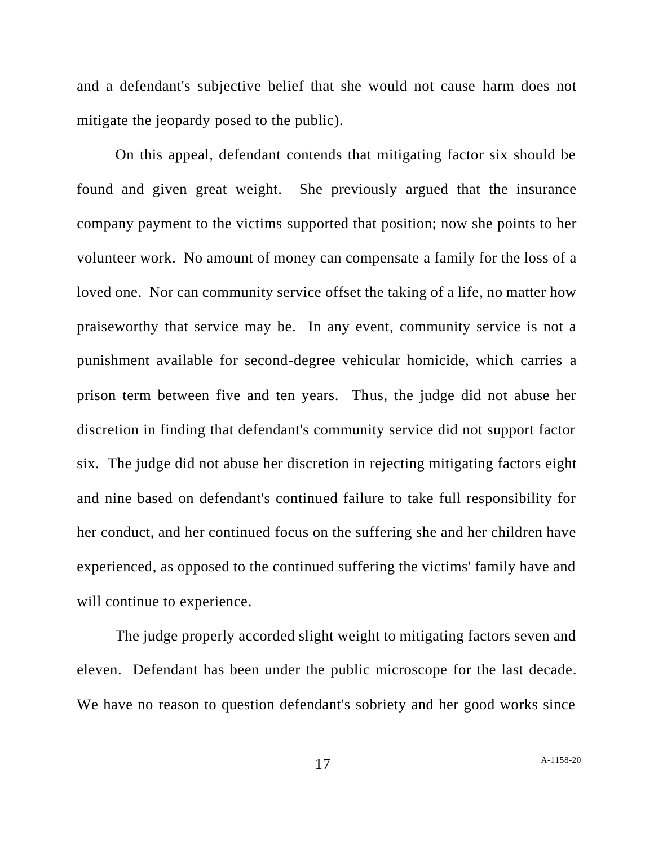and a defendant's subjective belief that she would not cause harm does not mitigate the jeopardy posed to the public).

On this appeal, defendant contends that mitigating factor six should be found and given great weight. She previously argued that the insurance company payment to the victims supported that position; now she points to her volunteer work. No amount of money can compensate a family for the loss of a loved one. Nor can community service offset the taking of a life, no matter how praiseworthy that service may be. In any event, community service is not a punishment available for second-degree vehicular homicide, which carries a prison term between five and ten years. Thus, the judge did not abuse her discretion in finding that defendant's community service did not support factor six. The judge did not abuse her discretion in rejecting mitigating factors eight and nine based on defendant's continued failure to take full responsibility for her conduct, and her continued focus on the suffering she and her children have experienced, as opposed to the continued suffering the victims' family have and will continue to experience.

The judge properly accorded slight weight to mitigating factors seven and eleven. Defendant has been under the public microscope for the last decade. We have no reason to question defendant's sobriety and her good works since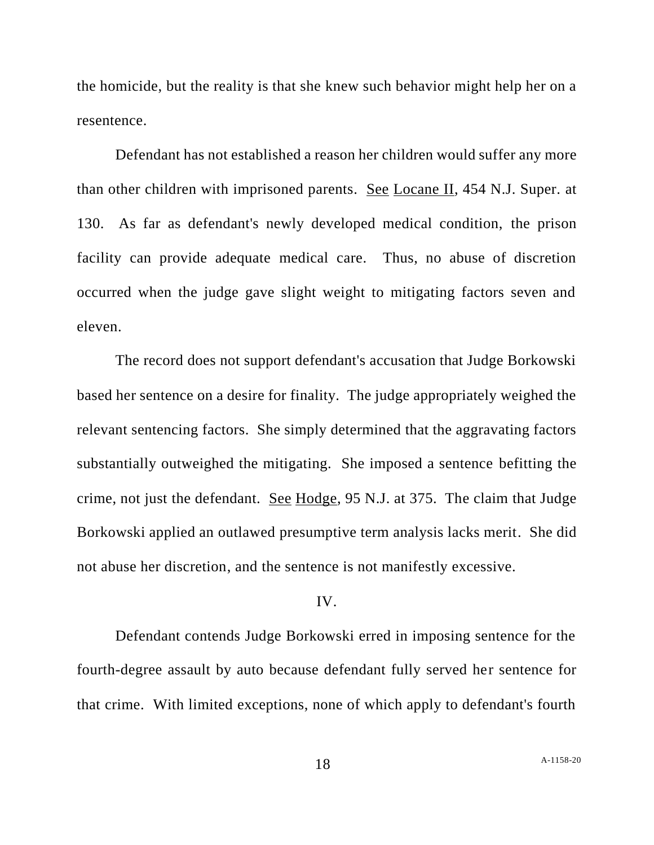the homicide, but the reality is that she knew such behavior might help her on a resentence.

Defendant has not established a reason her children would suffer any more than other children with imprisoned parents. See Locane II, 454 N.J. Super. at 130. As far as defendant's newly developed medical condition, the prison facility can provide adequate medical care. Thus, no abuse of discretion occurred when the judge gave slight weight to mitigating factors seven and eleven.

The record does not support defendant's accusation that Judge Borkowski based her sentence on a desire for finality. The judge appropriately weighed the relevant sentencing factors. She simply determined that the aggravating factors substantially outweighed the mitigating. She imposed a sentence befitting the crime, not just the defendant. See Hodge, 95 N.J. at 375. The claim that Judge Borkowski applied an outlawed presumptive term analysis lacks merit. She did not abuse her discretion, and the sentence is not manifestly excessive.

### IV.

Defendant contends Judge Borkowski erred in imposing sentence for the fourth-degree assault by auto because defendant fully served her sentence for that crime. With limited exceptions, none of which apply to defendant's fourth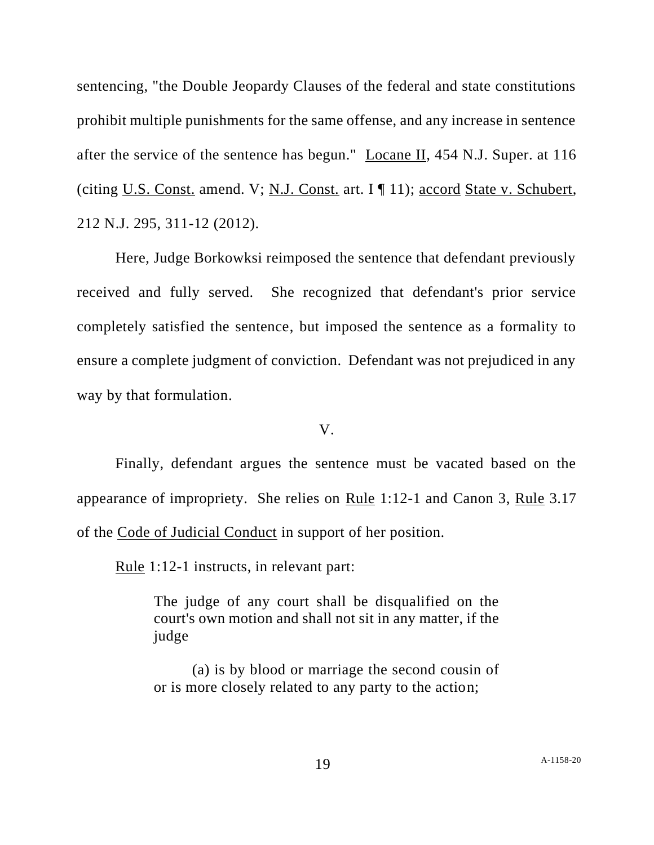sentencing, "the Double Jeopardy Clauses of the federal and state constitutions prohibit multiple punishments for the same offense, and any increase in sentence after the service of the sentence has begun." Locane II, 454 N.J. Super. at 116 (citing U.S. Const. amend. V; N.J. Const. art. I ¶ 11); accord State v. Schubert, 212 N.J. 295, 311-12 (2012).

Here, Judge Borkowksi reimposed the sentence that defendant previously received and fully served. She recognized that defendant's prior service completely satisfied the sentence, but imposed the sentence as a formality to ensure a complete judgment of conviction. Defendant was not prejudiced in any way by that formulation.

V.

Finally, defendant argues the sentence must be vacated based on the appearance of impropriety. She relies on Rule 1:12-1 and Canon 3, Rule 3.17 of the Code of Judicial Conduct in support of her position.

Rule 1:12-1 instructs, in relevant part:

The judge of any court shall be disqualified on the court's own motion and shall not sit in any matter, if the judge

(a) is by blood or marriage the second cousin of or is more closely related to any party to the action;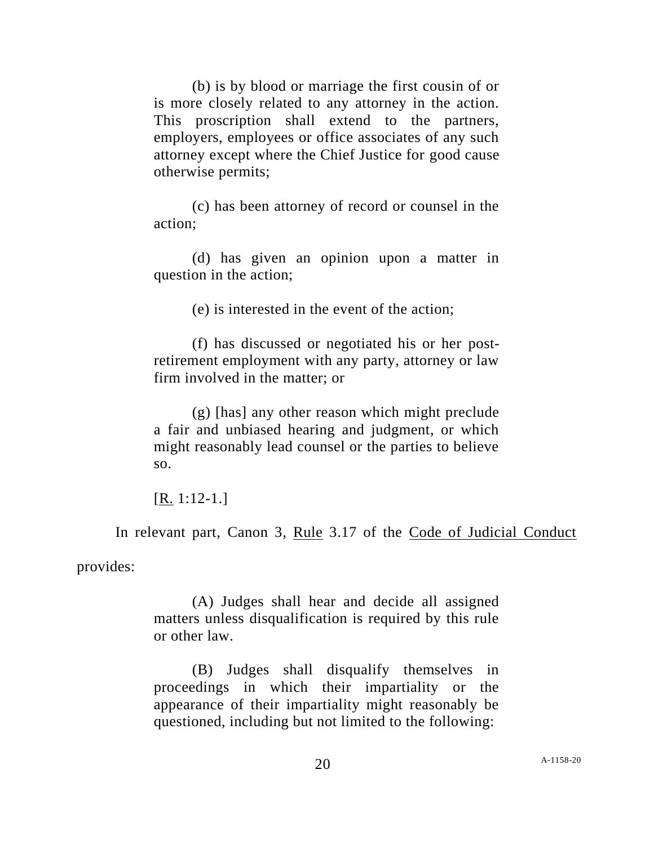(b) is by blood or marriage the first cousin of or is more closely related to any attorney in the action. This proscription shall extend to the partners, employers, employees or office associates of any such attorney except where the Chief Justice for good cause otherwise permits;

(c) has been attorney of record or counsel in the action;

(d) has given an opinion upon a matter in question in the action;

(e) is interested in the event of the action;

(f) has discussed or negotiated his or her postretirement employment with any party, attorney or law firm involved in the matter; or

(g) [has] any other reason which might preclude a fair and unbiased hearing and judgment, or which might reasonably lead counsel or the parties to believe so.

[R. 1:12-1.]

In relevant part, Canon 3, Rule 3.17 of the Code of Judicial Conduct

provides:

(A) Judges shall hear and decide all assigned matters unless disqualification is required by this rule or other law.

(B) Judges shall disqualify themselves in proceedings in which their impartiality or the appearance of their impartiality might reasonably be questioned, including but not limited to the following: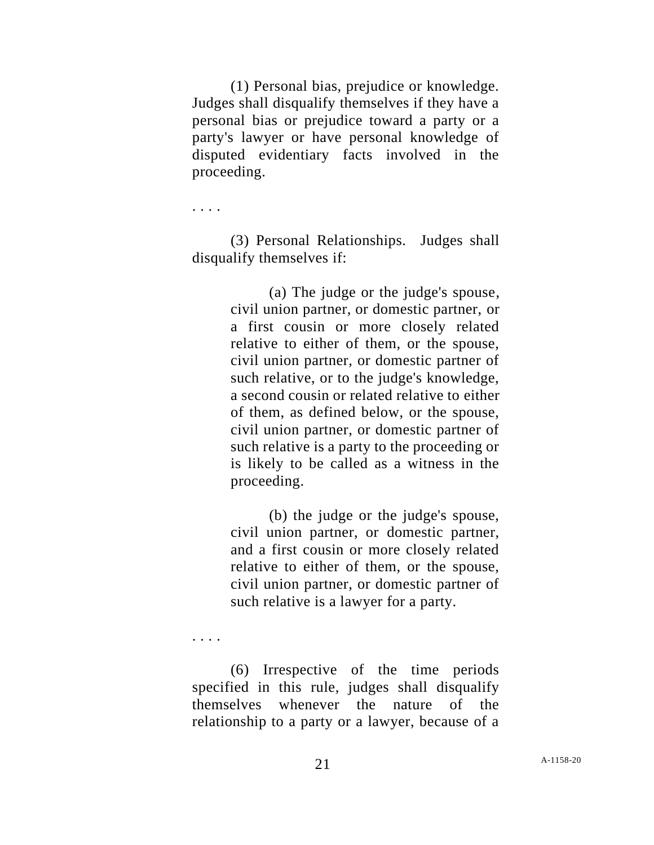(1) Personal bias, prejudice or knowledge. Judges shall disqualify themselves if they have a personal bias or prejudice toward a party or a party's lawyer or have personal knowledge of disputed evidentiary facts involved in the proceeding.

. . . .

(3) Personal Relationships. Judges shall disqualify themselves if:

> (a) The judge or the judge's spouse, civil union partner, or domestic partner, or a first cousin or more closely related relative to either of them, or the spouse, civil union partner, or domestic partner of such relative, or to the judge's knowledge, a second cousin or related relative to either of them, as defined below, or the spouse, civil union partner, or domestic partner of such relative is a party to the proceeding or is likely to be called as a witness in the proceeding.

> (b) the judge or the judge's spouse, civil union partner, or domestic partner, and a first cousin or more closely related relative to either of them, or the spouse, civil union partner, or domestic partner of such relative is a lawyer for a party.

. . . .

(6) Irrespective of the time periods specified in this rule, judges shall disqualify themselves whenever the nature of the relationship to a party or a lawyer, because of a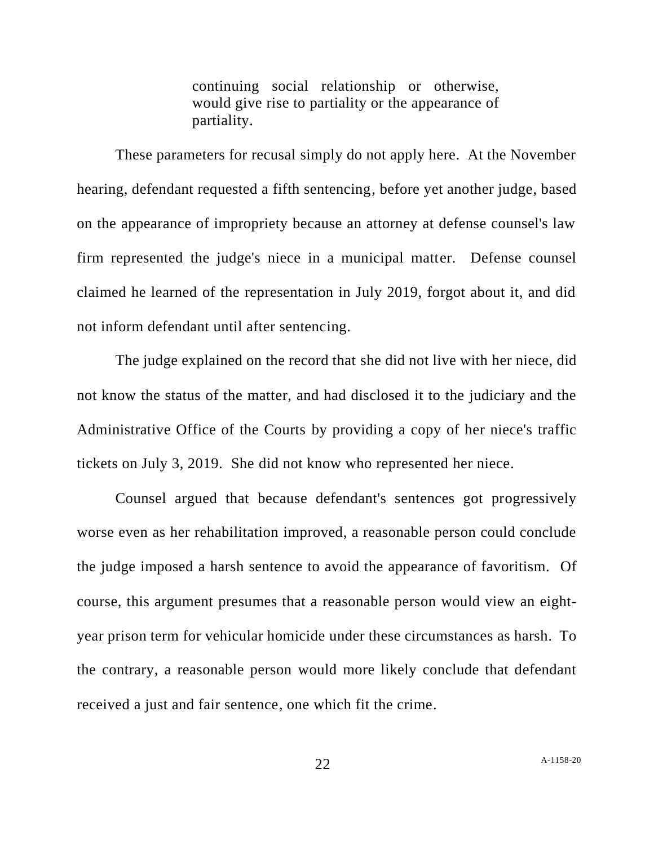continuing social relationship or otherwise, would give rise to partiality or the appearance of partiality.

These parameters for recusal simply do not apply here. At the November hearing, defendant requested a fifth sentencing, before yet another judge, based on the appearance of impropriety because an attorney at defense counsel's law firm represented the judge's niece in a municipal matter. Defense counsel claimed he learned of the representation in July 2019, forgot about it, and did not inform defendant until after sentencing.

The judge explained on the record that she did not live with her niece, did not know the status of the matter, and had disclosed it to the judiciary and the Administrative Office of the Courts by providing a copy of her niece's traffic tickets on July 3, 2019. She did not know who represented her niece.

Counsel argued that because defendant's sentences got progressively worse even as her rehabilitation improved, a reasonable person could conclude the judge imposed a harsh sentence to avoid the appearance of favoritism. Of course, this argument presumes that a reasonable person would view an eightyear prison term for vehicular homicide under these circumstances as harsh. To the contrary, a reasonable person would more likely conclude that defendant received a just and fair sentence, one which fit the crime.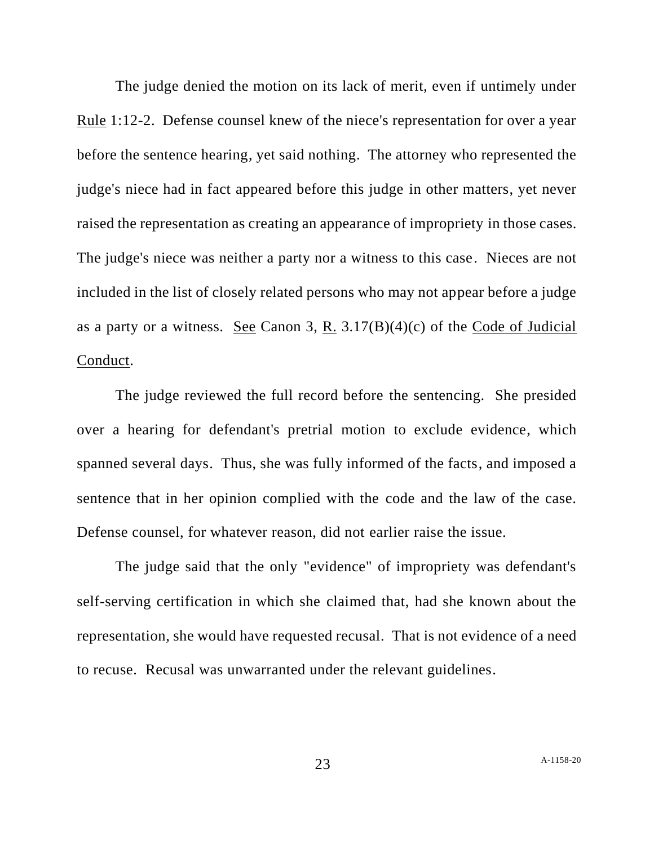The judge denied the motion on its lack of merit, even if untimely under Rule 1:12-2. Defense counsel knew of the niece's representation for over a year before the sentence hearing, yet said nothing. The attorney who represented the judge's niece had in fact appeared before this judge in other matters, yet never raised the representation as creating an appearance of impropriety in those cases. The judge's niece was neither a party nor a witness to this case. Nieces are not included in the list of closely related persons who may not appear before a judge as a party or a witness. See Canon 3, R. 3.17(B)(4)(c) of the Code of Judicial Conduct.

The judge reviewed the full record before the sentencing. She presided over a hearing for defendant's pretrial motion to exclude evidence, which spanned several days. Thus, she was fully informed of the facts, and imposed a sentence that in her opinion complied with the code and the law of the case. Defense counsel, for whatever reason, did not earlier raise the issue.

The judge said that the only "evidence" of impropriety was defendant's self-serving certification in which she claimed that, had she known about the representation, she would have requested recusal. That is not evidence of a need to recuse. Recusal was unwarranted under the relevant guidelines.